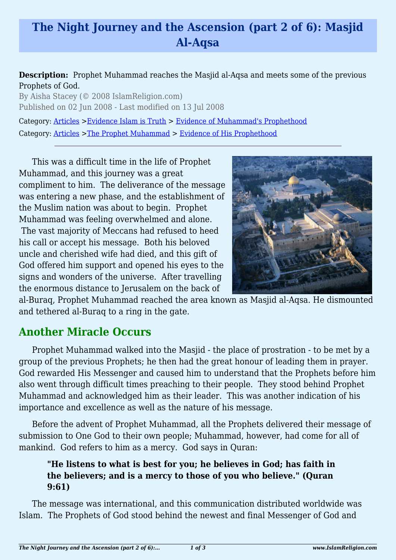# **The Night Journey and the Ascension (part 2 of 6): Masjid Al-Aqsa**

#### **Description:** Prophet Muhammad reaches the Masjid al-Aqsa and meets some of the previous Prophets of God.

By Aisha Stacey (© 2008 IslamReligion.com) Published on 02 Jun 2008 - Last modified on 13 Jul 2008

Category: [Articles](http://www.islamreligion.com/articles/) >[Evidence Islam is Truth](http://www.islamreligion.com/category/33/) > [Evidence of Muhammad's Prophethood](http://www.islamreligion.com/category/38/)

Category: [Articles](http://www.islamreligion.com/articles/) >[The Prophet Muhammad](http://www.islamreligion.com/category/79/) > [Evidence of His Prophethood](http://www.islamreligion.com/category/118/)

This was a difficult time in the life of Prophet Muhammad, and this journey was a great compliment to him. The deliverance of the message was entering a new phase, and the establishment of the Muslim nation was about to begin. Prophet Muhammad was feeling overwhelmed and alone. The vast majority of Meccans had refused to heed his call or accept his message. Both his beloved uncle and cherished wife had died, and this gift of God offered him support and opened his eyes to the signs and wonders of the universe. After travelling the enormous distance to Jerusalem on the back of



al-Buraq, Prophet Muhammad reached the area known as Masjid al-Aqsa. He dismounted and tethered al-Buraq to a ring in the gate.

### **Another Miracle Occurs**

Prophet Muhammad walked into the Masjid - the place of prostration - to be met by a group of the previous Prophets; he then had the great honour of leading them in prayer. God rewarded His Messenger and caused him to understand that the Prophets before him also went through difficult times preaching to their people. They stood behind Prophet Muhammad and acknowledged him as their leader. This was another indication of his importance and excellence as well as the nature of his message.

Before the advent of Prophet Muhammad, all the Prophets delivered their message of submission to One God to their own people; Muhammad, however, had come for all of mankind. God refers to him as a mercy. God says in Quran:

#### **"He listens to what is best for you; he believes in God; has faith in the believers; and is a mercy to those of you who believe." (Quran 9:61)**

The message was international, and this communication distributed worldwide was Islam. The Prophets of God stood behind the newest and final Messenger of God and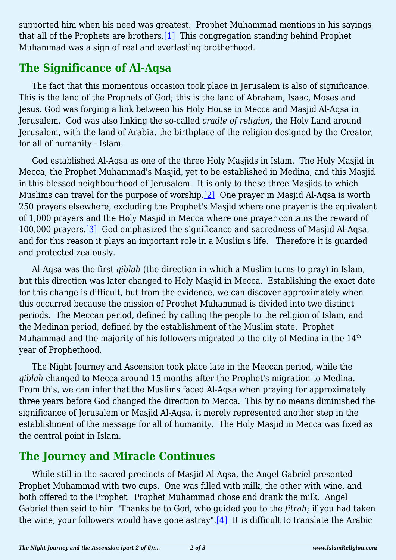<span id="page-1-0"></span>supported him when his need was greatest. Prophet Muhammad mentions in his sayings that all of the Prophets are brothers.[\[1\]](#page-2-0) This congregation standing behind Prophet Muhammad was a sign of real and everlasting brotherhood.

## **The Significance of Al-Aqsa**

The fact that this momentous occasion took place in Jerusalem is also of significance. This is the land of the Prophets of God; this is the land of Abraham, Isaac, Moses and Jesus. God was forging a link between his Holy House in Mecca and Masjid Al-Aqsa in Jerusalem. God was also linking the so-called *cradle of religion,* the Holy Land around Jerusalem, with the land of Arabia, the birthplace of the religion designed by the Creator, for all of humanity - Islam.

<span id="page-1-1"></span>God established Al-Aqsa as one of the three Holy Masjids in Islam. The Holy Masjid in Mecca, the Prophet Muhammad's Masjid, yet to be established in Medina, and this Masjid in this blessed neighbourhood of Jerusalem. It is only to these three Masjids to which Muslims can travel for the purpose of worship.<sup>[\[2\]](#page-2-1)</sup> One prayer in Masjid Al-Aqsa is worth 250 prayers elsewhere, excluding the Prophet's Masjid where one prayer is the equivalent of 1,000 prayers and the Holy Masjid in Mecca where one prayer contains the reward of 100,000 prayers[.\[3\]](#page-2-2) God emphasized the significance and sacredness of Masjid Al-Aqsa, and for this reason it plays an important role in a Muslim's life. Therefore it is guarded and protected zealously.

<span id="page-1-2"></span>Al-Aqsa was the first *qiblah* (the direction in which a Muslim turns to pray) in Islam, but this direction was later changed to Holy Masjid in Mecca. Establishing the exact date for this change is difficult, but from the evidence, we can discover approximately when this occurred because the mission of Prophet Muhammad is divided into two distinct periods. The Meccan period, defined by calling the people to the religion of Islam, and the Medinan period, defined by the establishment of the Muslim state. Prophet Muhammad and the majority of his followers migrated to the city of Medina in the 14<sup>th</sup> year of Prophethood.

The Night Journey and Ascension took place late in the Meccan period, while the *qiblah* changed to Mecca around 15 months after the Prophet's migration to Medina. From this, we can infer that the Muslims faced Al-Aqsa when praying for approximately three years before God changed the direction to Mecca. This by no means diminished the significance of Jerusalem or Masjid Al-Aqsa, it merely represented another step in the establishment of the message for all of humanity. The Holy Masjid in Mecca was fixed as the central point in Islam.

# **The Journey and Miracle Continues**

<span id="page-1-3"></span>While still in the sacred precincts of Masjid Al-Aqsa, the Angel Gabriel presented Prophet Muhammad with two cups. One was filled with milk, the other with wine, and both offered to the Prophet. Prophet Muhammad chose and drank the milk. Angel Gabriel then said to him "Thanks be to God, who guided you to the *fitrah*; if you had taken the wine, your followers would have gone astray". $[4]$  It is difficult to translate the Arabic